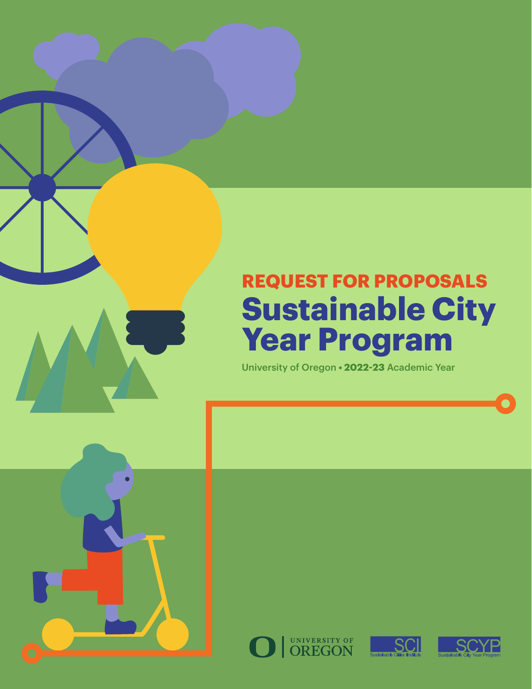# **REQUEST FOR PROPOSALS Sustainable City Year Program**

University of Oregon **• 2022-23** Academic Year





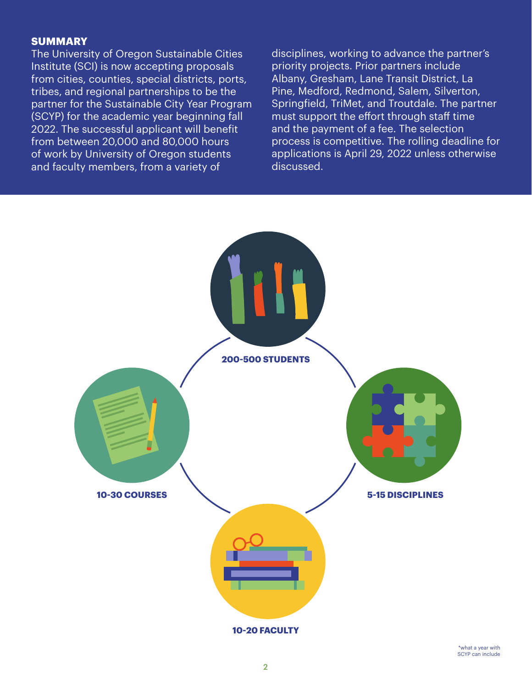### **SUMMARY**

The University of Oregon Sustainable Cities Institute (SCI) is now accepting proposals from cities, counties, special districts, ports, tribes, and regional partnerships to be the partner for the Sustainable City Year Program (SCYP) for the academic year beginning fall 2022. The successful applicant will benefit from between 20,000 and 80,000 hours of work by University of Oregon students and faculty members, from a variety of

disciplines, working to advance the partner's priority projects. Prior partners include Albany, Gresham, Lane Transit District, La Pine, Medford, Redmond, Salem, Silverton, Springfield, TriMet, and Troutdale. The partner must support the effort through staff time and the payment of a fee. The selection process is competitive. The rolling deadline for applications is April 29, 2022 unless otherwise discussed.

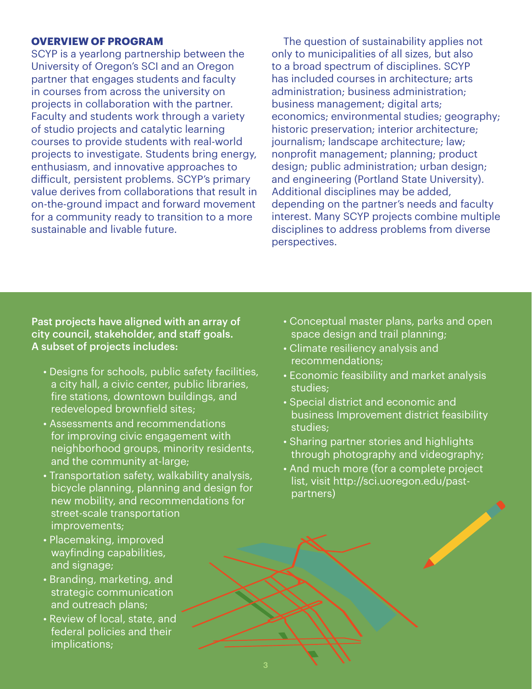### **OVERVIEW OF PROGRAM**

SCYP is a yearlong partnership between the University of Oregon's SCI and an Oregon partner that engages students and faculty in courses from across the university on projects in collaboration with the partner. Faculty and students work through a variety of studio projects and catalytic learning courses to provide students with real-world projects to investigate. Students bring energy, enthusiasm, and innovative approaches to difficult, persistent problems. SCYP's primary value derives from collaborations that result in on-the-ground impact and forward movement for a community ready to transition to a more sustainable and livable future.

The question of sustainability applies not only to municipalities of all sizes, but also to a broad spectrum of disciplines. SCYP has included courses in architecture; arts administration; business administration; business management; digital arts; economics; environmental studies; geography; historic preservation; interior architecture; journalism; landscape architecture; law; nonprofit management; planning; product design; public administration; urban design; and engineering (Portland State University). Additional disciplines may be added, depending on the partner's needs and faculty interest. Many SCYP projects combine multiple disciplines to address problems from diverse perspectives.

Past projects have aligned with an array of city council, stakeholder, and staff goals. A subset of projects includes:

- Designs for schools, public safety facilities, a city hall, a civic center, public libraries, fire stations, downtown buildings, and redeveloped brownfield sites;
- Assessments and recommendations for improving civic engagement with neighborhood groups, minority residents, and the community at-large;
- Transportation safety, walkability analysis, bicycle planning, planning and design for new mobility, and recommendations for street-scale transportation improvements;
- Placemaking, improved wayfinding capabilities, and signage;
- Branding, marketing, and strategic communication and outreach plans;
- Review of local, state, and federal policies and their implications;
- Conceptual master plans, parks and open space design and trail planning;
- Climate resiliency analysis and recommendations;
- Economic feasibility and market analysis studies;
- Special district and economic and business Improvement district feasibility studies;
- Sharing partner stories and highlights through photography and videography;
- And much more (for a complete project list, visit http://sci.uoregon.edu/pastpartners)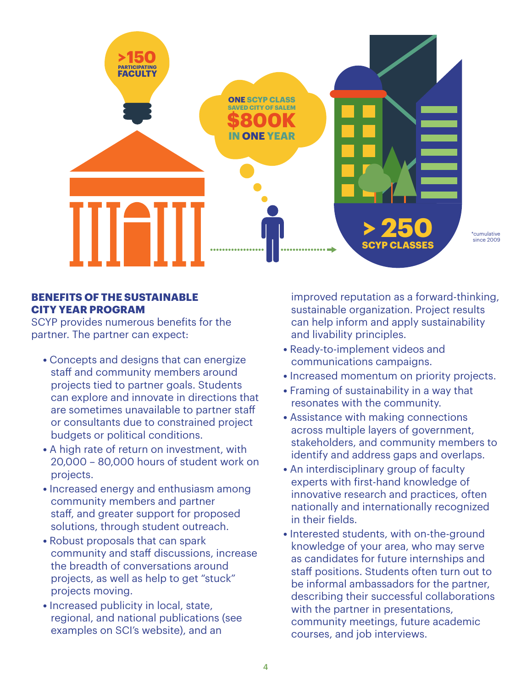

### **BENEFITS OF THE SUSTAINABLE CITY YEAR PROGRAM**

SCYP provides numerous benefits for the partner. The partner can expect:

- **•** Concepts and designs that can energize staff and community members around projects tied to partner goals. Students can explore and innovate in directions that are sometimes unavailable to partner staff or consultants due to constrained project budgets or political conditions.
- **•** A high rate of return on investment, with 20,000 – 80,000 hours of student work on projects.
- **•** Increased energy and enthusiasm among community members and partner staff, and greater support for proposed solutions, through student outreach.
- **•** Robust proposals that can spark community and staff discussions, increase the breadth of conversations around projects, as well as help to get "stuck" projects moving.
- **•** Increased publicity in local, state, regional, and national publications (see examples on SCI's website), and an

improved reputation as a forward-thinking, sustainable organization. Project results can help inform and apply sustainability and livability principles.

- **•** Ready-to-implement videos and communications campaigns.
- **•** Increased momentum on priority projects.
- **•** Framing of sustainability in a way that resonates with the community.
- **•** Assistance with making connections across multiple layers of government, stakeholders, and community members to identify and address gaps and overlaps.
- **•** An interdisciplinary group of faculty experts with first-hand knowledge of innovative research and practices, often nationally and internationally recognized in their fields.
- **•** Interested students, with on-the-ground knowledge of your area, who may serve as candidates for future internships and staff positions. Students often turn out to be informal ambassadors for the partner, describing their successful collaborations with the partner in presentations, community meetings, future academic courses, and job interviews.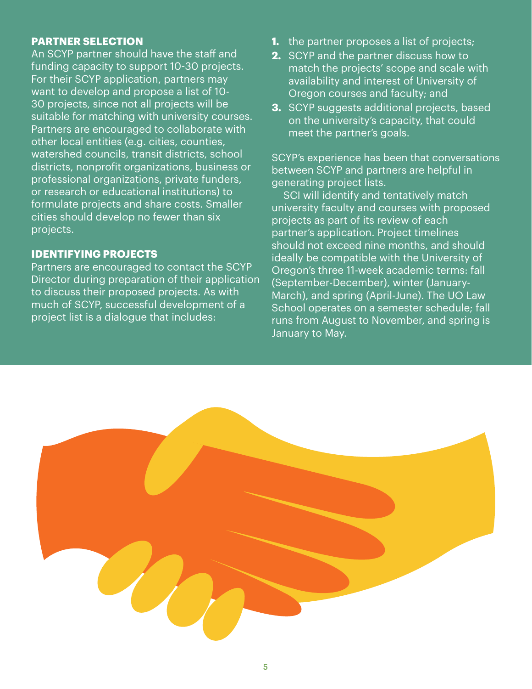### **PARTNER SELECTION**

An SCYP partner should have the staff and funding capacity to support 10-30 projects. For their SCYP application, partners may want to develop and propose a list of 10- 30 projects, since not all projects will be suitable for matching with university courses. Partners are encouraged to collaborate with other local entities (e.g. cities, counties, watershed councils, transit districts, school districts, nonprofit organizations, business or professional organizations, private funders, or research or educational institutions) to formulate projects and share costs. Smaller cities should develop no fewer than six projects.

### **IDENTIFYING PROJECTS**

Partners are encouraged to contact the SCYP Director during preparation of their application to discuss their proposed projects. As with much of SCYP, successful development of a project list is a dialogue that includes:

- **1.** the partner proposes a list of projects;
- **2.** SCYP and the partner discuss how to match the projects' scope and scale with availability and interest of University of Oregon courses and faculty; and
- **3.** SCYP suggests additional projects, based on the university's capacity, that could meet the partner's goals.

SCYP's experience has been that conversations between SCYP and partners are helpful in generating project lists.

SCI will identify and tentatively match university faculty and courses with proposed projects as part of its review of each partner's application. Project timelines should not exceed nine months, and should ideally be compatible with the University of Oregon's three 11-week academic terms: fall (September-December), winter (January-March), and spring (April-June). The UO Law School operates on a semester schedule; fall runs from August to November, and spring is January to May.

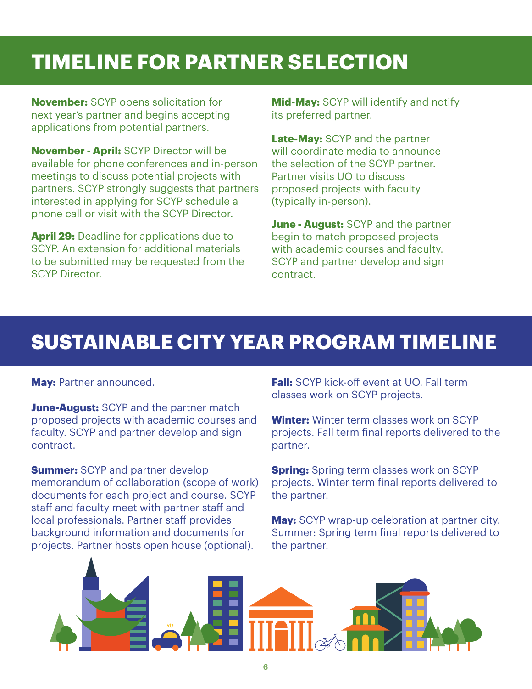## **TIMELINE FOR PARTNER SELECTION**

**November:** SCYP opens solicitation for next year's partner and begins accepting applications from potential partners.

**November - April:** SCYP Director will be available for phone conferences and in-person meetings to discuss potential projects with partners. SCYP strongly suggests that partners interested in applying for SCYP schedule a phone call or visit with the SCYP Director.

**April 29:** Deadline for applications due to SCYP. An extension for additional materials to be submitted may be requested from the SCYP Director.

**Mid-May:** SCYP will identify and notify its preferred partner.

**Late-May:** SCYP and the partner will coordinate media to announce the selection of the SCYP partner. Partner visits UO to discuss proposed projects with faculty (typically in-person).

**June - August:** SCYP and the partner begin to match proposed projects with academic courses and faculty. SCYP and partner develop and sign contract.

### **SUSTAINABLE CITY YEAR PROGRAM TIMELINE**

**May:** Partner announced.

**June-August:** SCYP and the partner match proposed projects with academic courses and faculty. SCYP and partner develop and sign contract.

**Summer:** SCYP and partner develop memorandum of collaboration (scope of work) documents for each project and course. SCYP staff and faculty meet with partner staff and local professionals. Partner staff provides background information and documents for projects. Partner hosts open house (optional).

**Fall:** SCYP kick-off event at UO. Fall term classes work on SCYP projects.

**Winter:** Winter term classes work on SCYP projects. Fall term final reports delivered to the partner.

**Spring:** Spring term classes work on SCYP projects. Winter term final reports delivered to the partner.

**May:** SCYP wrap-up celebration at partner city. Summer: Spring term final reports delivered to the partner.

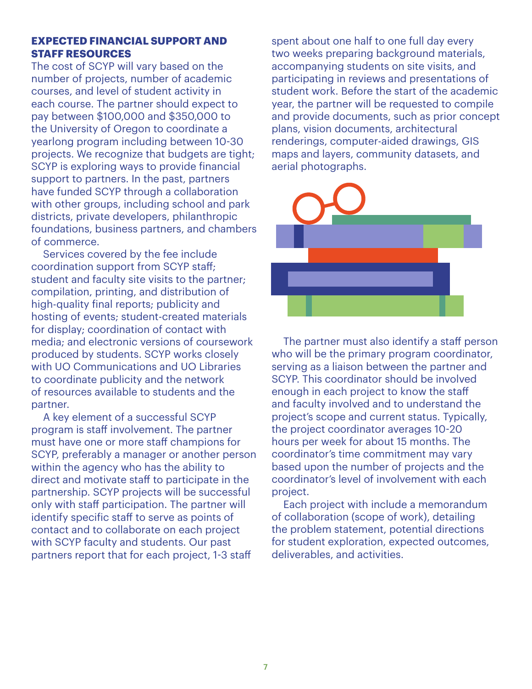### **EXPECTED FINANCIAL SUPPORT AND STAFF RESOURCES**

The cost of SCYP will vary based on the number of projects, number of academic courses, and level of student activity in each course. The partner should expect to pay between \$100,000 and \$350,000 to the University of Oregon to coordinate a yearlong program including between 10-30 projects. We recognize that budgets are tight; SCYP is exploring ways to provide financial support to partners. In the past, partners have funded SCYP through a collaboration with other groups, including school and park districts, private developers, philanthropic foundations, business partners, and chambers of commerce.

Services covered by the fee include coordination support from SCYP staff; student and faculty site visits to the partner; compilation, printing, and distribution of high-quality final reports; publicity and hosting of events; student-created materials for display; coordination of contact with media; and electronic versions of coursework produced by students. SCYP works closely with UO Communications and UO Libraries to coordinate publicity and the network of resources available to students and the partner.

A key element of a successful SCYP program is staff involvement. The partner must have one or more staff champions for SCYP, preferably a manager or another person within the agency who has the ability to direct and motivate staff to participate in the partnership. SCYP projects will be successful only with staff participation. The partner will identify specific staff to serve as points of contact and to collaborate on each project with SCYP faculty and students. Our past partners report that for each project, 1-3 staff

spent about one half to one full day every two weeks preparing background materials, accompanying students on site visits, and participating in reviews and presentations of student work. Before the start of the academic year, the partner will be requested to compile and provide documents, such as prior concept plans, vision documents, architectural renderings, computer-aided drawings, GIS maps and layers, community datasets, and aerial photographs.



The partner must also identify a staff person who will be the primary program coordinator, serving as a liaison between the partner and SCYP. This coordinator should be involved enough in each project to know the staff and faculty involved and to understand the project's scope and current status. Typically, the project coordinator averages 10-20 hours per week for about 15 months. The coordinator's time commitment may vary based upon the number of projects and the coordinator's level of involvement with each project.

Each project with include a memorandum of collaboration (scope of work), detailing the problem statement, potential directions for student exploration, expected outcomes, deliverables, and activities.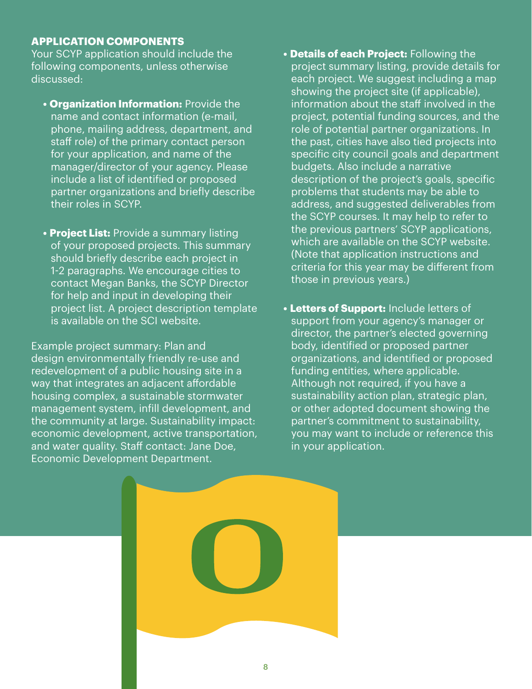### **APPLICATION COMPONENTS**

Your SCYP application should include the following components, unless otherwise discussed:

- **• Organization Information:** Provide the name and contact information (e-mail, phone, mailing address, department, and staff role) of the primary contact person for your application, and name of the manager/director of your agency. Please include a list of identified or proposed partner organizations and briefly describe their roles in SCYP.
- **• Project List:** Provide a summary listing of your proposed projects. This summary should briefly describe each project in 1-2 paragraphs. We encourage cities to contact Megan Banks, the SCYP Director for help and input in developing their project list. A project description template is available on the SCI website.

Example project summary: Plan and design environmentally friendly re-use and redevelopment of a public housing site in a way that integrates an adjacent affordable housing complex, a sustainable stormwater management system, infill development, and the community at large. Sustainability impact: economic development, active transportation, and water quality. Staff contact: Jane Doe, Economic Development Department.

- **• Details of each Project:** Following the project summary listing, provide details for each project. We suggest including a map showing the project site (if applicable), information about the staff involved in the project, potential funding sources, and the role of potential partner organizations. In the past, cities have also tied projects into specific city council goals and department budgets. Also include a narrative description of the project's goals, specific problems that students may be able to address, and suggested deliverables from the SCYP courses. It may help to refer to the previous partners' SCYP applications, which are available on the SCYP website. (Note that application instructions and criteria for this year may be different from those in previous years.)
- **• Letters of Support:** Include letters of support from your agency's manager or director, the partner's elected governing body, identified or proposed partner organizations, and identified or proposed funding entities, where applicable. Although not required, if you have a sustainability action plan, strategic plan, or other adopted document showing the partner's commitment to sustainability, you may want to include or reference this in your application.

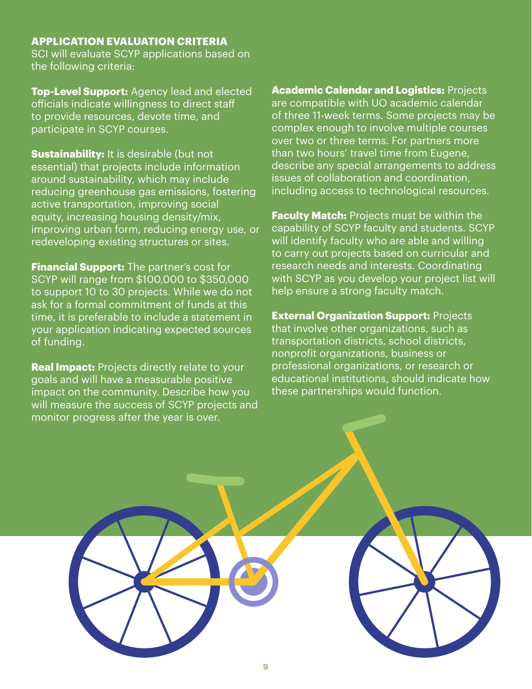### **APPLICATION EVALUATION CRITERIA**

SCI will evaluate SCYP applications based on the following criteria:

**Top-Level Support:** Agency lead and elected officials indicate willingness to direct staff to provide resources, devote time, and participate in SCYP courses.

**Sustainability:** It is desirable (but not essential) that projects include information around sustainability, which may include reducing greenhouse gas emissions, fostering active transportation, improving social equity, increasing housing density/mix, improving urban form, reducing energy use, or redeveloping existing structures or sites.

**Financial Support:** The partner's cost for SCYP will range from \$100,000 to \$350,000 to support 10 to 30 projects. While we do not ask for a formal commitment of funds at this time, it is preferable to include a statement in your application indicating expected sources of funding.

**Real Impact:** Projects directly relate to your goals and will have a measurable positive impact on the community. Describe how you will measure the success of SCYP projects and monitor progress after the year is over.

**Academic Calendar and Logistics:** Projects are compatible with UO academic calendar of three 11-week terms. Some projects may be complex enough to involve multiple courses over two or three terms. For partners more than two hours' travel time from Eugene, describe any special arrangements to address issues of collaboration and coordination, including access to technological resources.

**Faculty Match:** Projects must be within the capability of SCYP faculty and students. SCYP will identify faculty who are able and willing to carry out projects based on curricular and research needs and interests. Coordinating with SCYP as you develop your project list will help ensure a strong faculty match.

**External Organization Support: Projects** that involve other organizations, such as transportation districts, school districts, nonprofit organizations, business or professional organizations, or research or educational institutions, should indicate how these partnerships would function.